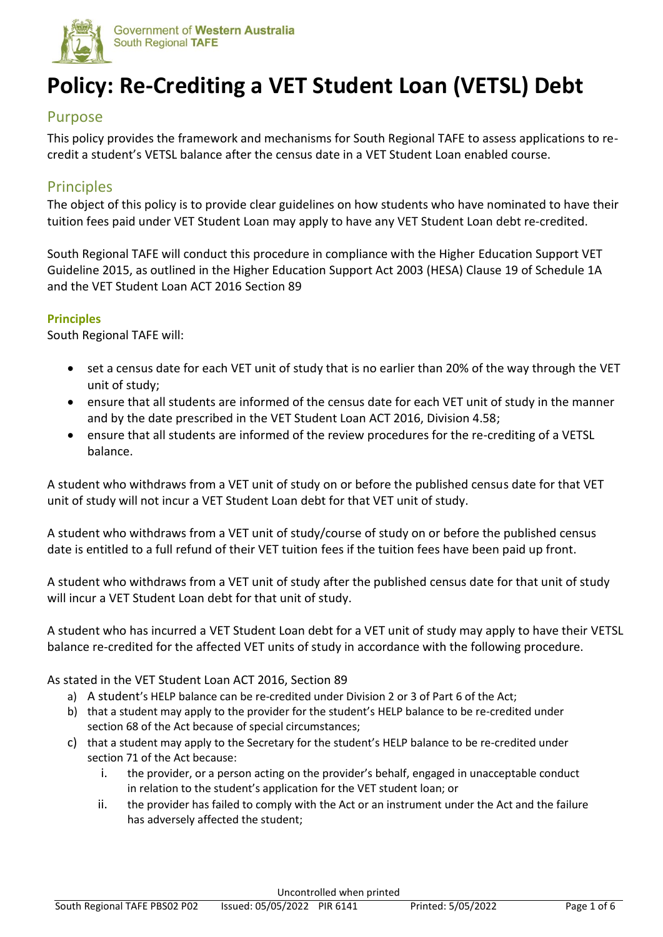

# **Policy: Re-Crediting a VET Student Loan (VETSL) Debt**

### Purpose

This policy provides the framework and mechanisms for South Regional TAFE to assess applications to recredit a student's VETSL balance after the census date in a VET Student Loan enabled course.

## **Principles**

The object of this policy is to provide clear guidelines on how students who have nominated to have their tuition fees paid under VET Student Loan may apply to have any VET Student Loan debt re-credited.

South Regional TAFE will conduct this procedure in compliance with the Higher Education Support VET Guideline 2015, as outlined in the Higher Education Support Act 2003 (HESA) Clause 19 of Schedule 1A and the VET Student Loan ACT 2016 Section 89

#### **Principles**

South Regional TAFE will:

- set a census date for each VET unit of study that is no earlier than 20% of the way through the VET unit of study;
- ensure that all students are informed of the census date for each VET unit of study in the manner and by the date prescribed in the VET Student Loan ACT 2016, Division 4.58;
- ensure that all students are informed of the review procedures for the re-crediting of a VETSL balance.

A student who withdraws from a VET unit of study on or before the published census date for that VET unit of study will not incur a VET Student Loan debt for that VET unit of study.

A student who withdraws from a VET unit of study/course of study on or before the published census date is entitled to a full refund of their VET tuition fees if the tuition fees have been paid up front.

A student who withdraws from a VET unit of study after the published census date for that unit of study will incur a VET Student Loan debt for that unit of study.

A student who has incurred a VET Student Loan debt for a VET unit of study may apply to have their VETSL balance re-credited for the affected VET units of study in accordance with the following procedure.

#### As stated in the VET Student Loan ACT 2016, Section 89

- a) A student's HELP balance can be re-credited under Division 2 or 3 of Part 6 of the Act;
- b) that a student may apply to the provider for the student's HELP balance to be re-credited under section 68 of the Act because of special circumstances;
- c) that a student may apply to the Secretary for the student's HELP balance to be re-credited under section 71 of the Act because:
	- i. the provider, or a person acting on the provider's behalf, engaged in unacceptable conduct in relation to the student's application for the VET student loan; or
	- ii. the provider has failed to comply with the Act or an instrument under the Act and the failure has adversely affected the student;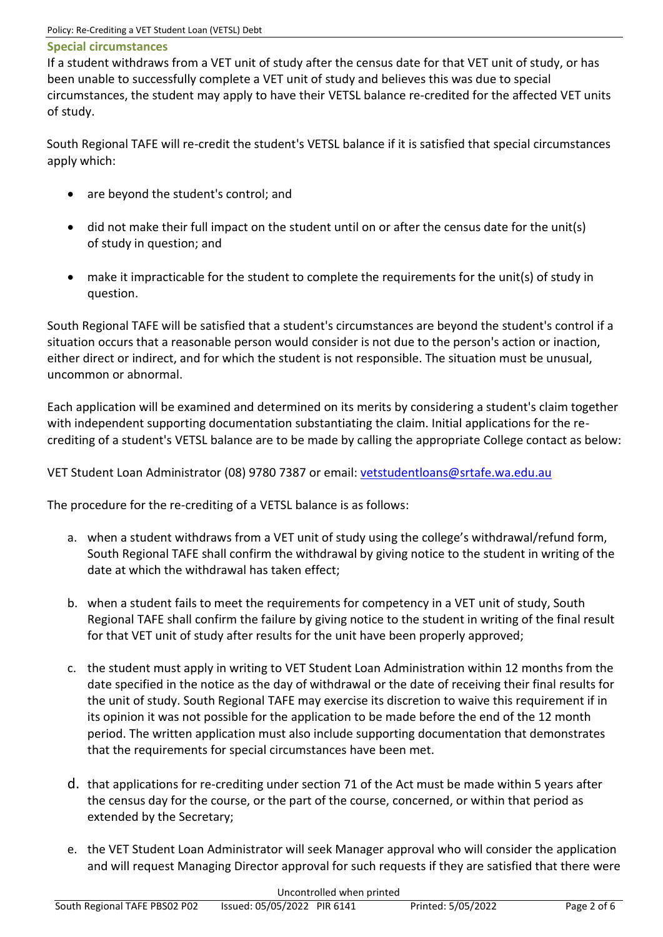#### **Special circumstances**

If a student withdraws from a VET unit of study after the census date for that VET unit of study, or has been unable to successfully complete a VET unit of study and believes this was due to special circumstances, the student may apply to have their VETSL balance re-credited for the affected VET units of study.

South Regional TAFE will re-credit the student's VETSL balance if it is satisfied that special circumstances apply which:

- are beyond the student's control; and
- did not make their full impact on the student until on or after the census date for the unit(s) of study in question; and
- make it impracticable for the student to complete the requirements for the unit(s) of study in question.

South Regional TAFE will be satisfied that a student's circumstances are beyond the student's control if a situation occurs that a reasonable person would consider is not due to the person's action or inaction, either direct or indirect, and for which the student is not responsible. The situation must be unusual, uncommon or abnormal.

Each application will be examined and determined on its merits by considering a student's claim together with independent supporting documentation substantiating the claim. Initial applications for the recrediting of a student's VETSL balance are to be made by calling the appropriate College contact as below:

VET Student Loan Administrator (08) 9780 7387 or email: [vetstudentloans@srtafe.wa.edu.au](mailto:vetstudentloans@srtafe.wa.edu.au)

The procedure for the re-crediting of a VETSL balance is as follows:

- a. when a student withdraws from a VET unit of study using the college's withdrawal/refund form, South Regional TAFE shall confirm the withdrawal by giving notice to the student in writing of the date at which the withdrawal has taken effect;
- b. when a student fails to meet the requirements for competency in a VET unit of study, South Regional TAFE shall confirm the failure by giving notice to the student in writing of the final result for that VET unit of study after results for the unit have been properly approved;
- c. the student must apply in writing to VET Student Loan Administration within 12 months from the date specified in the notice as the day of withdrawal or the date of receiving their final results for the unit of study. South Regional TAFE may exercise its discretion to waive this requirement if in its opinion it was not possible for the application to be made before the end of the 12 month period. The written application must also include supporting documentation that demonstrates that the requirements for special circumstances have been met.
- d. that applications for re-crediting under section 71 of the Act must be made within 5 years after the census day for the course, or the part of the course, concerned, or within that period as extended by the Secretary;
- e. the VET Student Loan Administrator will seek Manager approval who will consider the application and will request Managing Director approval for such requests if they are satisfied that there were

|                               |                             | Uncontrolled when printed |                    |             |
|-------------------------------|-----------------------------|---------------------------|--------------------|-------------|
| South Regional TAFE PBS02 P02 | Issued: 05/05/2022 PIR 6141 |                           | Printed: 5/05/2022 | Page 2 of 6 |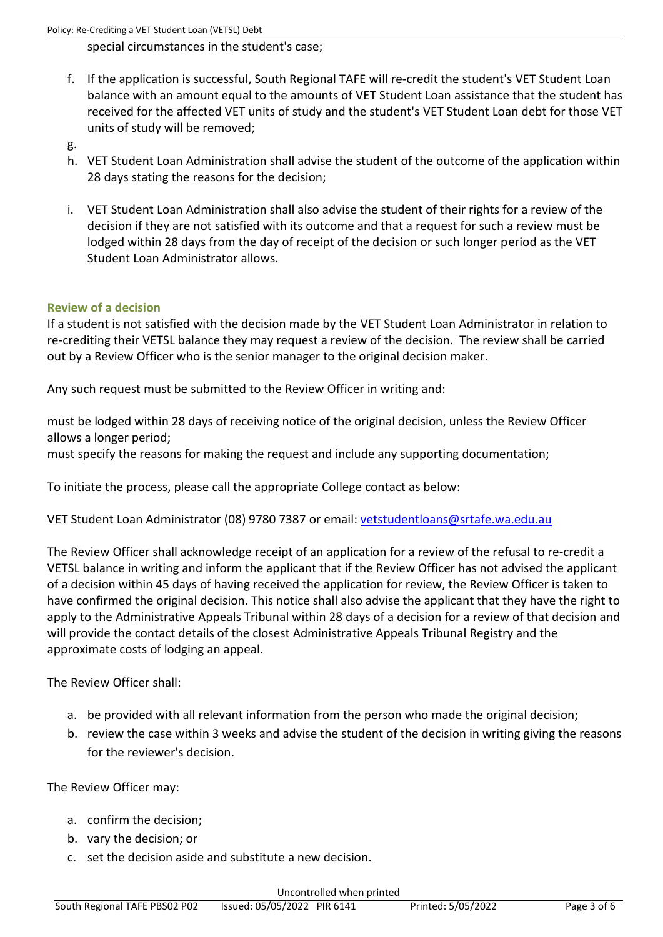special circumstances in the student's case;

- f. If the application is successful, South Regional TAFE will re-credit the student's VET Student Loan balance with an amount equal to the amounts of VET Student Loan assistance that the student has received for the affected VET units of study and the student's VET Student Loan debt for those VET units of study will be removed;
- g.
- h. VET Student Loan Administration shall advise the student of the outcome of the application within 28 days stating the reasons for the decision;
- i. VET Student Loan Administration shall also advise the student of their rights for a review of the decision if they are not satisfied with its outcome and that a request for such a review must be lodged within 28 days from the day of receipt of the decision or such longer period as the VET Student Loan Administrator allows.

#### **Review of a decision**

If a student is not satisfied with the decision made by the VET Student Loan Administrator in relation to re-crediting their VETSL balance they may request a review of the decision. The review shall be carried out by a Review Officer who is the senior manager to the original decision maker.

Any such request must be submitted to the Review Officer in writing and:

must be lodged within 28 days of receiving notice of the original decision, unless the Review Officer allows a longer period;

must specify the reasons for making the request and include any supporting documentation;

To initiate the process, please call the appropriate College contact as below:

VET Student Loan Administrator (08) 9780 7387 or email: [vetstudentloans@srtafe.wa.edu.au](mailto:vetstudentloans@srtafe.wa.edu.au)

The Review Officer shall acknowledge receipt of an application for a review of the refusal to re-credit a VETSL balance in writing and inform the applicant that if the Review Officer has not advised the applicant of a decision within 45 days of having received the application for review, the Review Officer is taken to have confirmed the original decision. This notice shall also advise the applicant that they have the right to apply to the Administrative Appeals Tribunal within 28 days of a decision for a review of that decision and will provide the contact details of the closest Administrative Appeals Tribunal Registry and the approximate costs of lodging an appeal.

The Review Officer shall:

- a. be provided with all relevant information from the person who made the original decision;
- b. review the case within 3 weeks and advise the student of the decision in writing giving the reasons for the reviewer's decision.

The Review Officer may:

- a. confirm the decision;
- b. vary the decision; or
- c. set the decision aside and substitute a new decision.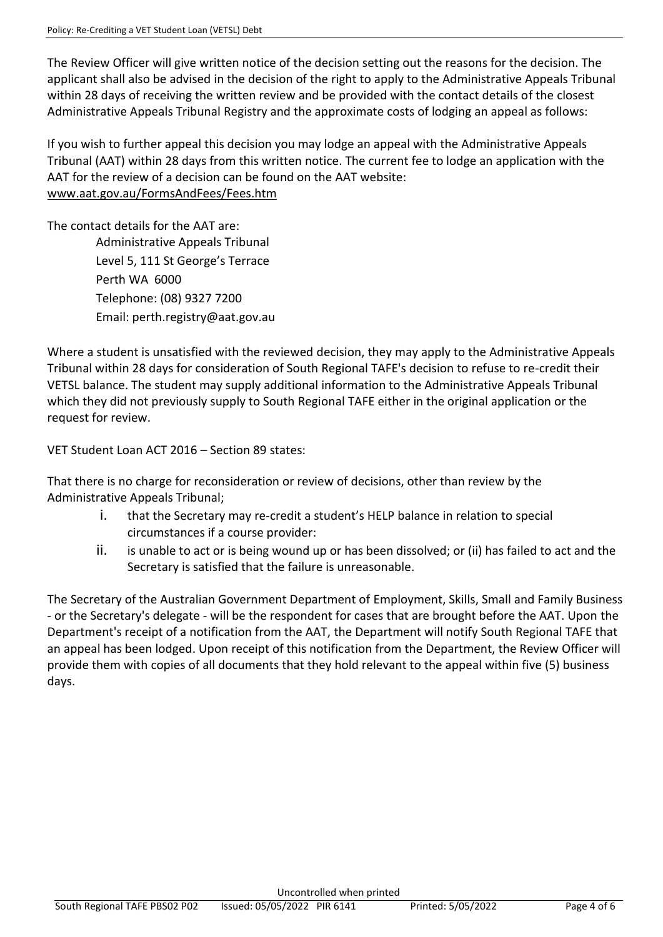The Review Officer will give written notice of the decision setting out the reasons for the decision. The applicant shall also be advised in the decision of the right to apply to the Administrative Appeals Tribunal within 28 days of receiving the written review and be provided with the contact details of the closest Administrative Appeals Tribunal Registry and the approximate costs of lodging an appeal as follows:

If you wish to further appeal this decision you may lodge an appeal with the Administrative Appeals Tribunal (AAT) within 28 days from this written notice. The current fee to lodge an application with the AAT for the review of a decision can be found on the AAT website: [www.aat.gov.au/FormsAndFees/Fees.htm](http://www.aat.gov.au/FormsAndFees/Fees.htm)

The contact details for the AAT are:

Administrative Appeals Tribunal Level 5, 111 St George's Terrace Perth WA 6000 Telephone: (08) 9327 7200 Email: perth.registry@aat.gov.au

Where a student is unsatisfied with the reviewed decision, they may apply to the Administrative Appeals Tribunal within 28 days for consideration of South Regional TAFE's decision to refuse to re-credit their VETSL balance. The student may supply additional information to the Administrative Appeals Tribunal which they did not previously supply to South Regional TAFE either in the original application or the request for review.

VET Student Loan ACT 2016 – Section 89 states:

That there is no charge for reconsideration or review of decisions, other than review by the Administrative Appeals Tribunal;

- i. that the Secretary may re-credit a student's HELP balance in relation to special circumstances if a course provider:
- ii. is unable to act or is being wound up or has been dissolved; or (ii) has failed to act and the Secretary is satisfied that the failure is unreasonable.

The Secretary of the Australian Government Department of Employment, Skills, Small and Family Business - or the Secretary's delegate - will be the respondent for cases that are brought before the AAT. Upon the Department's receipt of a notification from the AAT, the Department will notify South Regional TAFE that an appeal has been lodged. Upon receipt of this notification from the Department, the Review Officer will provide them with copies of all documents that they hold relevant to the appeal within five (5) business days.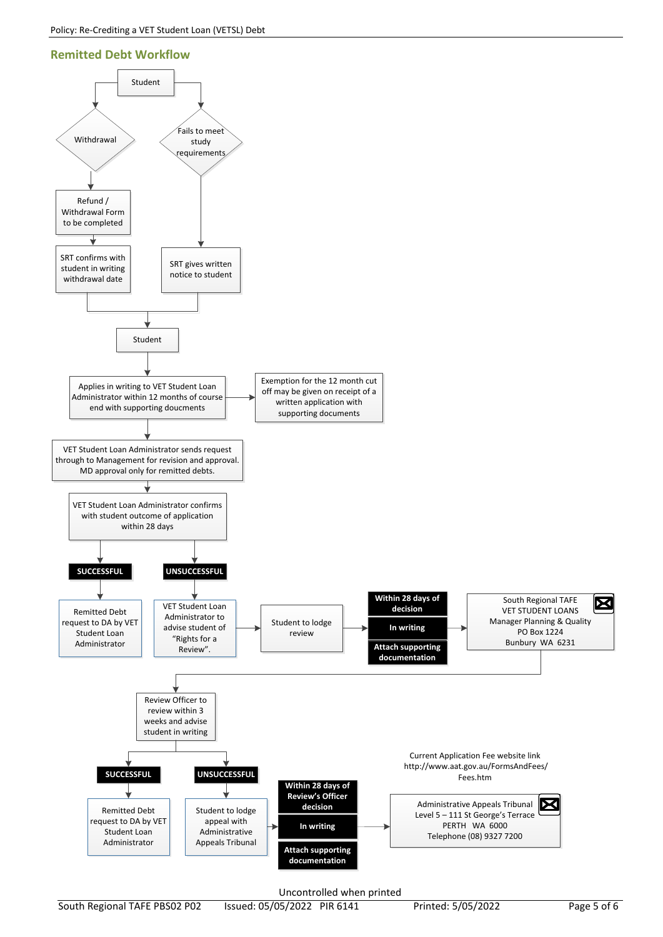#### **Remitted Debt Workflow**



Uncontrolled when printed